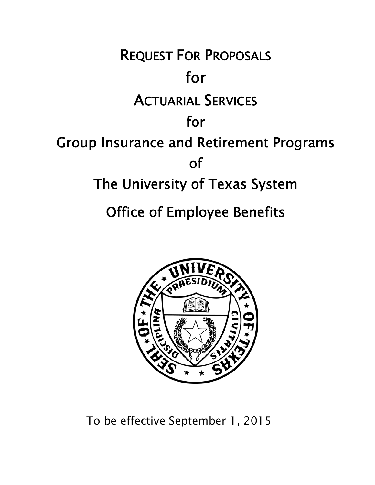



To be effective September 1, 2015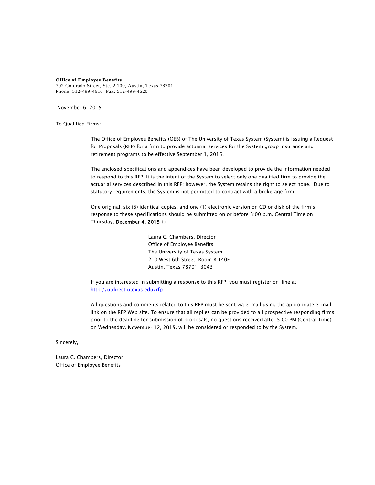**Office of Employee Benefits**  702 Colorado Street, Ste. 2.100, Austin, Texas 78701 Phone: 512-499-4616 Fax: 512-499-4620

November 6, 2015

To Qualified Firms:

The Office of Employee Benefits (OEB) of The University of Texas System (System) is issuing a Request for Proposals (RFP) for a firm to provide actuarial services for the System group insurance and retirement programs to be effective September 1, 2015.

The enclosed specifications and appendices have been developed to provide the information needed to respond to this RFP. It is the intent of the System to select only one qualified firm to provide the actuarial services described in this RFP; however, the System retains the right to select none. Due to statutory requirements, the System is not permitted to contract with a brokerage firm.

One original, six (6) identical copies, and one (1) electronic version on CD or disk of the firm's response to these specifications should be submitted on or before 3:00 p.m. Central Time on Thursday, December 4, 2015 to:

> Laura C. Chambers, Director Office of Employee Benefits The University of Texas System 210 West 6th Street, Room B.140E Austin, Texas 78701-3043

If you are interested in submitting a response to this RFP, you must register on-line at http://utdirect.utexas.edu/rfp.

All questions and comments related to this RFP must be sent via e-mail using the appropriate e-mail link on the RFP Web site. To ensure that all replies can be provided to all prospective responding firms prior to the deadline for submission of proposals, no questions received after 5:00 PM (Central Time) on Wednesday, November 12, 2015, will be considered or responded to by the System.

Sincerely,

Laura C. Chambers, Director Office of Employee Benefits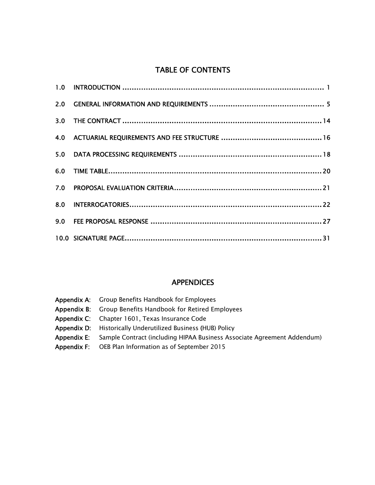#### TABLE OF CONTENTS

#### **APPENDICES**

| <b>Appendix A:</b> Group Benefits Handbook for Employees                                   |
|--------------------------------------------------------------------------------------------|
| <b>Appendix B:</b> Group Benefits Handbook for Retired Employees                           |
| <b>Appendix C:</b> Chapter 1601, Texas Insurance Code                                      |
| <b>Appendix D:</b> Historically Underutilized Business (HUB) Policy                        |
| <b>Appendix E:</b> Sample Contract (including HIPAA Business Associate Agreement Addendum) |
| <b>Appendix F:</b> OEB Plan Information as of September 2015                               |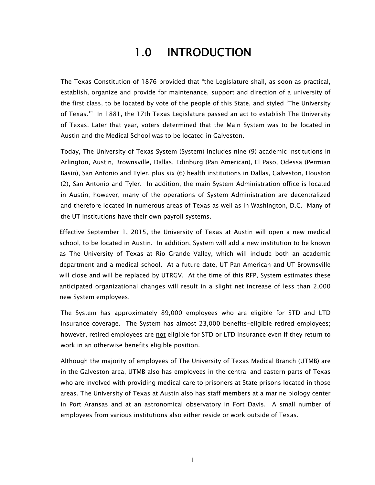## 1.0 INTRODUCTION

The Texas Constitution of 1876 provided that "the Legislature shall, as soon as practical, establish, organize and provide for maintenance, support and direction of a university of the first class, to be located by vote of the people of this State, and styled 'The University of Texas.'" In 1881, the 17th Texas Legislature passed an act to establish The University of Texas. Later that year, voters determined that the Main System was to be located in Austin and the Medical School was to be located in Galveston.

Today, The University of Texas System (System) includes nine (9) academic institutions in Arlington, Austin, Brownsville, Dallas, Edinburg (Pan American), El Paso, Odessa (Permian Basin), San Antonio and Tyler, plus six (6) health institutions in Dallas, Galveston, Houston (2), San Antonio and Tyler. In addition, the main System Administration office is located in Austin; however, many of the operations of System Administration are decentralized and therefore located in numerous areas of Texas as well as in Washington, D.C. Many of the UT institutions have their own payroll systems.

Effective September 1, 2015, the University of Texas at Austin will open a new medical school, to be located in Austin. In addition, System will add a new institution to be known as The University of Texas at Rio Grande Valley, which will include both an academic department and a medical school. At a future date, UT Pan American and UT Brownsville will close and will be replaced by UTRGV. At the time of this RFP, System estimates these anticipated organizational changes will result in a slight net increase of less than 2,000 new System employees.

The System has approximately 89,000 employees who are eligible for STD and LTD insurance coverage. The System has almost 23,000 benefits-eligible retired employees; however, retired employees are not eligible for STD or LTD insurance even if they return to work in an otherwise benefits eligible position.

Although the majority of employees of The University of Texas Medical Branch (UTMB) are in the Galveston area, UTMB also has employees in the central and eastern parts of Texas who are involved with providing medical care to prisoners at State prisons located in those areas. The University of Texas at Austin also has staff members at a marine biology center in Port Aransas and at an astronomical observatory in Fort Davis. A small number of employees from various institutions also either reside or work outside of Texas.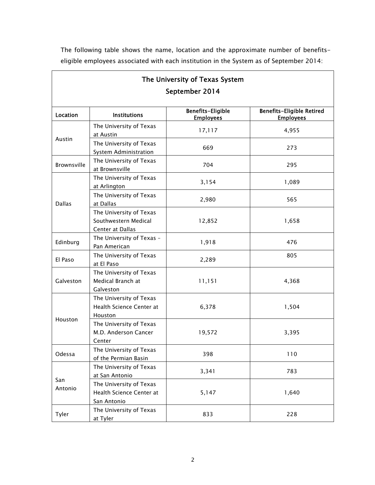The following table shows the name, location and the approximate number of benefitseligible employees associated with each institution in the System as of September 2014:

 $\lceil$ 

|                |                                                                     | The University of Texas System               |                                                      |
|----------------|---------------------------------------------------------------------|----------------------------------------------|------------------------------------------------------|
|                |                                                                     | September 2014                               |                                                      |
| Location       | <b>Institutions</b>                                                 | <b>Benefits-Eligible</b><br><b>Employees</b> | <b>Benefits-Eligible Retired</b><br><b>Employees</b> |
|                | The University of Texas<br>at Austin                                | 17,117                                       | 4,955                                                |
| Austin         | The University of Texas<br>System Administration                    | 669                                          | 273                                                  |
| Brownsville    | The University of Texas<br>at Brownsville                           | 704                                          | 295                                                  |
|                | The University of Texas<br>at Arlington                             | 3,154                                        | 1,089                                                |
| <b>Dallas</b>  | The University of Texas<br>at Dallas                                | 2,980                                        | 565                                                  |
|                | The University of Texas<br>Southwestern Medical<br>Center at Dallas | 12,852                                       | 1,658                                                |
| Edinburg       | The University of Texas -<br>Pan American                           | 1,918                                        | 476                                                  |
| El Paso        | The University of Texas<br>at El Paso                               | 2,289                                        | 805                                                  |
| Galveston      | The University of Texas<br>Medical Branch at<br>Galveston           | 11,151                                       | 4,368                                                |
|                | The University of Texas<br>Health Science Center at<br>Houston      | 6,378                                        | 1,504                                                |
| Houston        | The University of Texas<br>M.D. Anderson Cancer<br>Center           | 19,572                                       | 3,395                                                |
| Odessa         | The University of Texas<br>of the Permian Basin                     | 398                                          | 110                                                  |
|                | The University of Texas<br>at San Antonio                           | 3,341                                        | 783                                                  |
| San<br>Antonio | The University of Texas<br>Health Science Center at<br>San Antonio  | 5,147                                        | 1,640                                                |
| Tyler          | The University of Texas<br>at Tyler                                 | 833                                          | 228                                                  |

2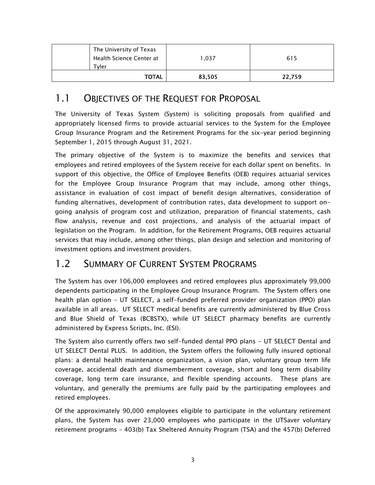| The University of Texas<br>Health Science Center at<br>Tvler | 1.037  | 615    |
|--------------------------------------------------------------|--------|--------|
| <b>TOTAL</b>                                                 | 83,505 | 22,759 |

#### 1.1 OBJECTIVES OF THE REQUEST FOR PROPOSAL

The University of Texas System (System) is soliciting proposals from qualified and appropriately licensed firms to provide actuarial services to the System for the Employee Group Insurance Program and the Retirement Programs for the six-year period beginning September 1, 2015 through August 31, 2021.

The primary objective of the System is to maximize the benefits and services that employees and retired employees of the System receive for each dollar spent on benefits. In support of this objective, the Office of Employee Benefits (OEB) requires actuarial services for the Employee Group Insurance Program that may include, among other things, assistance in evaluation of cost impact of benefit design alternatives, consideration of funding alternatives, development of contribution rates, data development to support ongoing analysis of program cost and utilization, preparation of financial statements, cash flow analysis, revenue and cost projections, and analysis of the actuarial impact of legislation on the Program. In addition, for the Retirement Programs, OEB requires actuarial services that may include, among other things, plan design and selection and monitoring of investment options and investment providers.

#### 1.2 SUMMARY OF CURRENT SYSTEM PROGRAMS

The System has over 106,000 employees and retired employees plus approximately 99,000 dependents participating in the Employee Group Insurance Program. The System offers one health plan option – UT SELECT, a self-funded preferred provider organization (PPO) plan available in all areas. UT SELECT medical benefits are currently administered by Blue Cross and Blue Shield of Texas (BCBSTX), while UT SELECT pharmacy benefits are currently administered by Express Scripts, Inc. (ESI).

The System also currently offers two self-funded dental PPO plans - UT SELECT Dental and UT SELECT Dental PLUS. In addition, the System offers the following fully insured optional plans: a dental health maintenance organization, a vision plan, voluntary group term life coverage, accidental death and dismemberment coverage, short and long term disability coverage, long term care insurance, and flexible spending accounts. These plans are voluntary, and generally the premiums are fully paid by the participating employees and retired employees.

Of the approximately 90,000 employees eligible to participate in the voluntary retirement plans, the System has over 23,000 employees who participate in the UTSaver voluntary retirement programs – 403(b) Tax Sheltered Annuity Program (TSA) and the 457(b) Deferred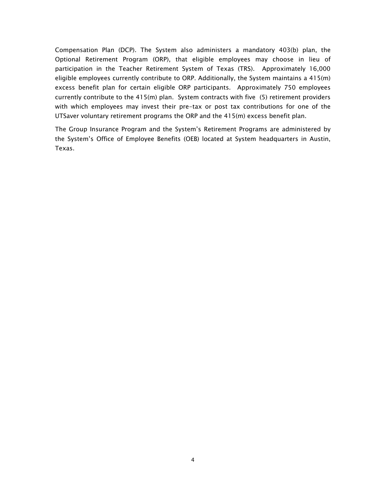Compensation Plan (DCP). The System also administers a mandatory 403(b) plan, the Optional Retirement Program (ORP), that eligible employees may choose in lieu of participation in the Teacher Retirement System of Texas (TRS). Approximately 16,000 eligible employees currently contribute to ORP. Additionally, the System maintains a 415(m) excess benefit plan for certain eligible ORP participants. Approximately 750 employees currently contribute to the 415(m) plan. System contracts with five (5) retirement providers with which employees may invest their pre-tax or post tax contributions for one of the UTSaver voluntary retirement programs the ORP and the 415(m) excess benefit plan.

The Group Insurance Program and the System's Retirement Programs are administered by the System's Office of Employee Benefits (OEB) located at System headquarters in Austin, Texas.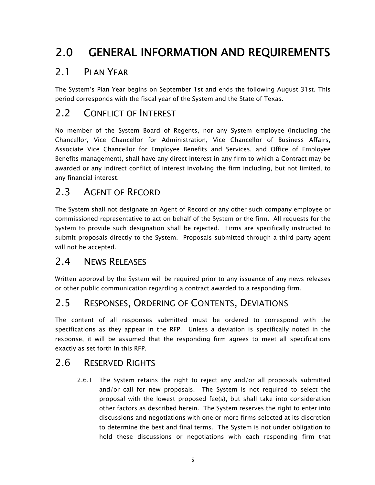## 2.0 GENERAL INFORMATION AND REQUIREMENTS

### 2.1 PLAN YEAR

The System's Plan Year begins on September 1st and ends the following August 31st. This period corresponds with the fiscal year of the System and the State of Texas.

## 2.2 CONFLICT OF INTEREST

No member of the System Board of Regents, nor any System employee (including the Chancellor, Vice Chancellor for Administration, Vice Chancellor of Business Affairs, Associate Vice Chancellor for Employee Benefits and Services, and Office of Employee Benefits management), shall have any direct interest in any firm to which a Contract may be awarded or any indirect conflict of interest involving the firm including, but not limited, to any financial interest.

## 2.3 AGENT OF RECORD

The System shall not designate an Agent of Record or any other such company employee or commissioned representative to act on behalf of the System or the firm. All requests for the System to provide such designation shall be rejected. Firms are specifically instructed to submit proposals directly to the System. Proposals submitted through a third party agent will not be accepted.

### 2.4 NEWS RELEASES

Written approval by the System will be required prior to any issuance of any news releases or other public communication regarding a contract awarded to a responding firm.

### 2.5 RESPONSES, ORDERING OF CONTENTS, DEVIATIONS

The content of all responses submitted must be ordered to correspond with the specifications as they appear in the RFP. Unless a deviation is specifically noted in the response, it will be assumed that the responding firm agrees to meet all specifications exactly as set forth in this RFP.

### 2.6 RESERVED RIGHTS

2.6.1 The System retains the right to reject any and/or all proposals submitted and/or call for new proposals. The System is not required to select the proposal with the lowest proposed fee(s), but shall take into consideration other factors as described herein. The System reserves the right to enter into discussions and negotiations with one or more firms selected at its discretion to determine the best and final terms. The System is not under obligation to hold these discussions or negotiations with each responding firm that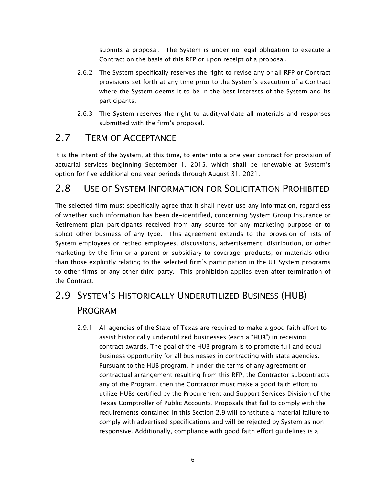submits a proposal. The System is under no legal obligation to execute a Contract on the basis of this RFP or upon receipt of a proposal.

- 2.6.2 The System specifically reserves the right to revise any or all RFP or Contract provisions set forth at any time prior to the System's execution of a Contract where the System deems it to be in the best interests of the System and its participants.
- 2.6.3 The System reserves the right to audit/validate all materials and responses submitted with the firm's proposal.

#### 2.7 TERM OF ACCEPTANCE

It is the intent of the System, at this time, to enter into a one year contract for provision of actuarial services beginning September 1, 2015, which shall be renewable at System's option for five additional one year periods through August 31, 2021.

#### 2.8 USE OF SYSTEM INFORMATION FOR SOLICITATION PROHIBITED

The selected firm must specifically agree that it shall never use any information, regardless of whether such information has been de-identified, concerning System Group Insurance or Retirement plan participants received from any source for any marketing purpose or to solicit other business of any type. This agreement extends to the provision of lists of System employees or retired employees, discussions, advertisement, distribution, or other marketing by the firm or a parent or subsidiary to coverage, products, or materials other than those explicitly relating to the selected firm's participation in the UT System programs to other firms or any other third party. This prohibition applies even after termination of the Contract.

## 2.9 SYSTEM'S HISTORICALLY UNDERUTILIZED BUSINESS (HUB) PROGRAM

2.9.1 All agencies of the State of Texas are required to make a good faith effort to assist historically underutilized businesses (each a "HUB") in receiving contract awards. The goal of the HUB program is to promote full and equal business opportunity for all businesses in contracting with state agencies. Pursuant to the HUB program, if under the terms of any agreement or contractual arrangement resulting from this RFP, the Contractor subcontracts any of the Program, then the Contractor must make a good faith effort to utilize HUBs certified by the Procurement and Support Services Division of the Texas Comptroller of Public Accounts. Proposals that fail to comply with the requirements contained in this Section 2.9 will constitute a material failure to comply with advertised specifications and will be rejected by System as nonresponsive. Additionally, compliance with good faith effort guidelines is a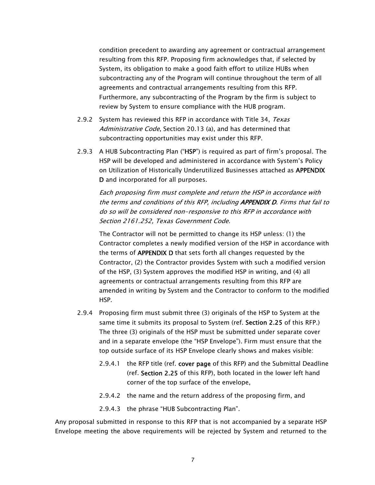condition precedent to awarding any agreement or contractual arrangement resulting from this RFP. Proposing firm acknowledges that, if selected by System, its obligation to make a good faith effort to utilize HUBs when subcontracting any of the Program will continue throughout the term of all agreements and contractual arrangements resulting from this RFP. Furthermore, any subcontracting of the Program by the firm is subject to review by System to ensure compliance with the HUB program.

- 2.9.2 System has reviewed this RFP in accordance with Title 34, Texas Administrative Code, Section 20.13 (a), and has determined that subcontracting opportunities may exist under this RFP.
- 2.9.3 A HUB Subcontracting Plan ("HSP") is required as part of firm's proposal. The HSP will be developed and administered in accordance with System's Policy on Utilization of Historically Underutilized Businesses attached as APPENDIX D and incorporated for all purposes.

Each proposing firm must complete and return the HSP in accordance with the terms and conditions of this RFP, including APPENDIX D. Firms that fail to do so will be considered non-responsive to this RFP in accordance with Section 2161.252, Texas Government Code.

The Contractor will not be permitted to change its HSP unless: (1) the Contractor completes a newly modified version of the HSP in accordance with the terms of APPENDIX D that sets forth all changes requested by the Contractor, (2) the Contractor provides System with such a modified version of the HSP, (3) System approves the modified HSP in writing, and (4) all agreements or contractual arrangements resulting from this RFP are amended in writing by System and the Contractor to conform to the modified HSP.

- 2.9.4 Proposing firm must submit three (3) originals of the HSP to System at the same time it submits its proposal to System (ref. Section 2.25 of this RFP.) The three (3) originals of the HSP must be submitted under separate cover and in a separate envelope (the "HSP Envelope"). Firm must ensure that the top outside surface of its HSP Envelope clearly shows and makes visible:
	- 2.9.4.1 the RFP title (ref. cover page of this RFP) and the Submittal Deadline (ref. Section 2.25 of this RFP), both located in the lower left hand corner of the top surface of the envelope,
	- 2.9.4.2 the name and the return address of the proposing firm, and
	- 2.9.4.3 the phrase "HUB Subcontracting Plan".

Any proposal submitted in response to this RFP that is not accompanied by a separate HSP Envelope meeting the above requirements will be rejected by System and returned to the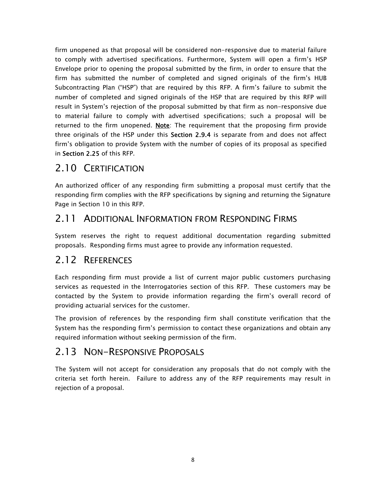firm unopened as that proposal will be considered non-responsive due to material failure to comply with advertised specifications. Furthermore, System will open a firm's HSP Envelope prior to opening the proposal submitted by the firm, in order to ensure that the firm has submitted the number of completed and signed originals of the firm's HUB Subcontracting Plan ("HSP") that are required by this RFP. A firm's failure to submit the number of completed and signed originals of the HSP that are required by this RFP will result in System's rejection of the proposal submitted by that firm as non-responsive due to material failure to comply with advertised specifications; such a proposal will be returned to the firm unopened. Note: The requirement that the proposing firm provide three originals of the HSP under this Section 2.9.4 is separate from and does not affect firm's obligation to provide System with the number of copies of its proposal as specified in Section 2.25 of this RFP.

### 2.10 CERTIFICATION

An authorized officer of any responding firm submitting a proposal must certify that the responding firm complies with the RFP specifications by signing and returning the Signature Page in Section 10 in this RFP.

#### 2.11 ADDITIONAL INFORMATION FROM RESPONDING FIRMS

System reserves the right to request additional documentation regarding submitted proposals. Responding firms must agree to provide any information requested.

#### 2.12 REFERENCES

Each responding firm must provide a list of current major public customers purchasing services as requested in the Interrogatories section of this RFP. These customers may be contacted by the System to provide information regarding the firm's overall record of providing actuarial services for the customer.

The provision of references by the responding firm shall constitute verification that the System has the responding firm's permission to contact these organizations and obtain any required information without seeking permission of the firm.

#### 2.13 NON-RESPONSIVE PROPOSALS

The System will not accept for consideration any proposals that do not comply with the criteria set forth herein. Failure to address any of the RFP requirements may result in rejection of a proposal.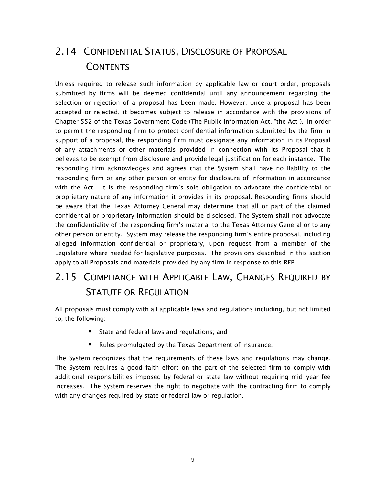## 2.14 CONFIDENTIAL STATUS, DISCLOSURE OF PROPOSAL **CONTENTS**

Unless required to release such information by applicable law or court order, proposals submitted by firms will be deemed confidential until any announcement regarding the selection or rejection of a proposal has been made. However, once a proposal has been accepted or rejected, it becomes subject to release in accordance with the provisions of Chapter 552 of the Texas Government Code (The Public Information Act, "the Act"). In order to permit the responding firm to protect confidential information submitted by the firm in support of a proposal, the responding firm must designate any information in its Proposal of any attachments or other materials provided in connection with its Proposal that it believes to be exempt from disclosure and provide legal justification for each instance. The responding firm acknowledges and agrees that the System shall have no liability to the responding firm or any other person or entity for disclosure of information in accordance with the Act. It is the responding firm's sole obligation to advocate the confidential or proprietary nature of any information it provides in its proposal. Responding firms should be aware that the Texas Attorney General may determine that all or part of the claimed confidential or proprietary information should be disclosed. The System shall not advocate the confidentiality of the responding firm's material to the Texas Attorney General or to any other person or entity. System may release the responding firm's entire proposal, including alleged information confidential or proprietary, upon request from a member of the Legislature where needed for legislative purposes. The provisions described in this section apply to all Proposals and materials provided by any firm in response to this RFP.

## 2.15 COMPLIANCE WITH APPLICABLE LAW, CHANGES REQUIRED BY STATUTE OR REGULATION

All proposals must comply with all applicable laws and regulations including, but not limited to, the following:

- State and federal laws and regulations; and
- Rules promulgated by the Texas Department of Insurance.

The System recognizes that the requirements of these laws and regulations may change. The System requires a good faith effort on the part of the selected firm to comply with additional responsibilities imposed by federal or state law without requiring mid-year fee increases. The System reserves the right to negotiate with the contracting firm to comply with any changes required by state or federal law or regulation.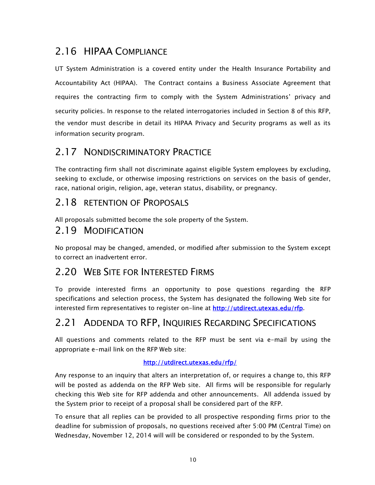## 2.16 HIPAA COMPLIANCE

UT System Administration is a covered entity under the Health Insurance Portability and Accountability Act (HIPAA). The Contract contains a Business Associate Agreement that requires the contracting firm to comply with the System Administrations' privacy and security policies. In response to the related interrogatories included in Section 8 of this RFP, the vendor must describe in detail its HIPAA Privacy and Security programs as well as its information security program.

#### 2.17 NONDISCRIMINATORY PRACTICE

The contracting firm shall not discriminate against eligible System employees by excluding, seeking to exclude, or otherwise imposing restrictions on services on the basis of gender, race, national origin, religion, age, veteran status, disability, or pregnancy.

#### 2.18 RETENTION OF PROPOSALS

All proposals submitted become the sole property of the System.

#### 2.19 MODIFICATION

No proposal may be changed, amended, or modified after submission to the System except to correct an inadvertent error.

### 2.20 WEB SITE FOR INTERESTED FIRMS

To provide interested firms an opportunity to pose questions regarding the RFP specifications and selection process, the System has designated the following Web site for interested firm representatives to register on-line at http://utdirect.utexas.edu/rfp.

### 2.21 ADDENDA TO RFP, INQUIRIES REGARDING SPECIFICATIONS

All questions and comments related to the RFP must be sent via e-mail by using the appropriate e-mail link on the RFP Web site:

#### http://utdirect.utexas.edu/rfp/

Any response to an inquiry that alters an interpretation of, or requires a change to, this RFP will be posted as addenda on the RFP Web site. All firms will be responsible for regularly checking this Web site for RFP addenda and other announcements. All addenda issued by the System prior to receipt of a proposal shall be considered part of the RFP.

To ensure that all replies can be provided to all prospective responding firms prior to the deadline for submission of proposals, no questions received after 5:00 PM (Central Time) on Wednesday, November 12, 2014 will will be considered or responded to by the System.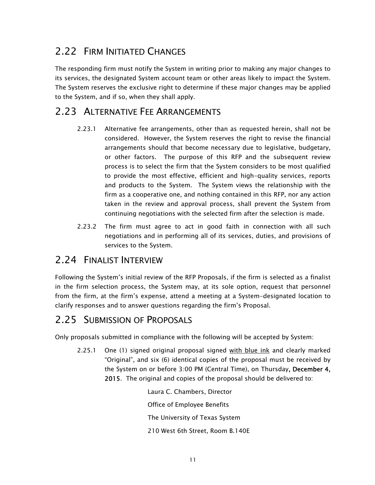## 2.22 FIRM INITIATED CHANGES

The responding firm must notify the System in writing prior to making any major changes to its services, the designated System account team or other areas likely to impact the System. The System reserves the exclusive right to determine if these major changes may be applied to the System, and if so, when they shall apply.

### 2.23 ALTERNATIVE FEE ARRANGEMENTS

- 2.23.1 Alternative fee arrangements, other than as requested herein, shall not be considered. However, the System reserves the right to revise the financial arrangements should that become necessary due to legislative, budgetary, or other factors. The purpose of this RFP and the subsequent review process is to select the firm that the System considers to be most qualified to provide the most effective, efficient and high-quality services, reports and products to the System. The System views the relationship with the firm as a cooperative one, and nothing contained in this RFP, nor any action taken in the review and approval process, shall prevent the System from continuing negotiations with the selected firm after the selection is made.
- 2.23.2 The firm must agree to act in good faith in connection with all such negotiations and in performing all of its services, duties, and provisions of services to the System.

#### 2.24 FINALIST INTERVIEW

Following the System's initial review of the RFP Proposals, if the firm is selected as a finalist in the firm selection process, the System may, at its sole option, request that personnel from the firm, at the firm's expense, attend a meeting at a System-designated location to clarify responses and to answer questions regarding the firm's Proposal.

### 2.25 SUBMISSION OF PROPOSALS

Only proposals submitted in compliance with the following will be accepted by System:

2.25.1 One (1) signed original proposal signed with blue ink and clearly marked "Original", and six (6) identical copies of the proposal must be received by the System on or before 3:00 PM (Central Time), on Thursday, December 4, 2015. The original and copies of the proposal should be delivered to:

> Laura C. Chambers, Director Office of Employee Benefits The University of Texas System 210 West 6th Street, Room B.140E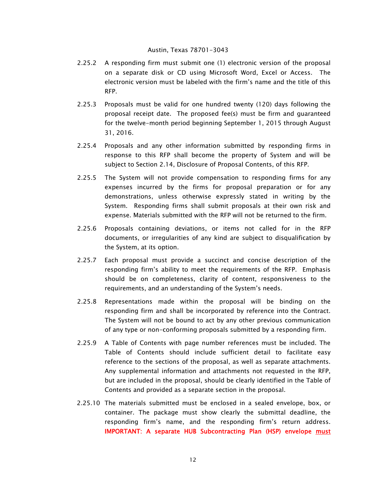#### Austin, Texas 78701-3043

- 2.25.2 A responding firm must submit one (1) electronic version of the proposal on a separate disk or CD using Microsoft Word, Excel or Access. The electronic version must be labeled with the firm's name and the title of this RFP.
- 2.25.3 Proposals must be valid for one hundred twenty (120) days following the proposal receipt date. The proposed fee(s) must be firm and guaranteed for the twelve-month period beginning September 1, 2015 through August 31, 2016.
- 2.25.4 Proposals and any other information submitted by responding firms in response to this RFP shall become the property of System and will be subject to Section 2.14, Disclosure of Proposal Contents, of this RFP.
- 2.25.5 The System will not provide compensation to responding firms for any expenses incurred by the firms for proposal preparation or for any demonstrations, unless otherwise expressly stated in writing by the System. Responding firms shall submit proposals at their own risk and expense. Materials submitted with the RFP will not be returned to the firm.
- 2.25.6 Proposals containing deviations, or items not called for in the RFP documents, or irregularities of any kind are subject to disqualification by the System, at its option.
- 2.25.7 Each proposal must provide a succinct and concise description of the responding firm's ability to meet the requirements of the RFP. Emphasis should be on completeness, clarity of content, responsiveness to the requirements, and an understanding of the System's needs.
- 2.25.8 Representations made within the proposal will be binding on the responding firm and shall be incorporated by reference into the Contract. The System will not be bound to act by any other previous communication of any type or non-conforming proposals submitted by a responding firm.
- 2.25.9 A Table of Contents with page number references must be included. The Table of Contents should include sufficient detail to facilitate easy reference to the sections of the proposal, as well as separate attachments. Any supplemental information and attachments not requested in the RFP, but are included in the proposal, should be clearly identified in the Table of Contents and provided as a separate section in the proposal.
- 2.25.10 The materials submitted must be enclosed in a sealed envelope, box, or container. The package must show clearly the submittal deadline, the responding firm's name, and the responding firm's return address. IMPORTANT: A separate HUB Subcontracting Plan (HSP) envelope must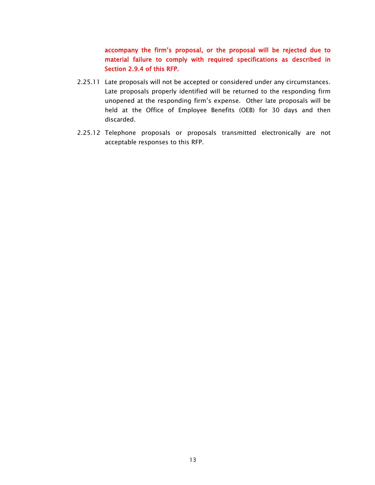accompany the firm's proposal, or the proposal will be rejected due to material failure to comply with required specifications as described in Section 2.9.4 of this RFP.

- 2.25.11 Late proposals will not be accepted or considered under any circumstances. Late proposals properly identified will be returned to the responding firm unopened at the responding firm's expense. Other late proposals will be held at the Office of Employee Benefits (OEB) for 30 days and then discarded.
- 2.25.12 Telephone proposals or proposals transmitted electronically are not acceptable responses to this RFP.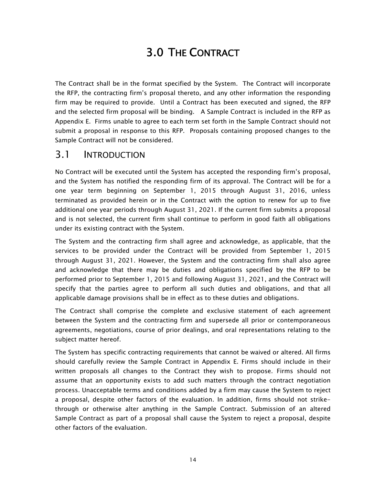## 3.0 THE CONTRACT

The Contract shall be in the format specified by the System. The Contract will incorporate the RFP, the contracting firm's proposal thereto, and any other information the responding firm may be required to provide. Until a Contract has been executed and signed, the RFP and the selected firm proposal will be binding. A Sample Contract is included in the RFP as Appendix E. Firms unable to agree to each term set forth in the Sample Contract should not submit a proposal in response to this RFP. Proposals containing proposed changes to the Sample Contract will not be considered.

#### 3.1 INTRODUCTION

No Contract will be executed until the System has accepted the responding firm's proposal, and the System has notified the responding firm of its approval. The Contract will be for a one year term beginning on September 1, 2015 through August 31, 2016, unless terminated as provided herein or in the Contract with the option to renew for up to five additional one year periods through August 31, 2021. If the current firm submits a proposal and is not selected, the current firm shall continue to perform in good faith all obligations under its existing contract with the System.

The System and the contracting firm shall agree and acknowledge, as applicable, that the services to be provided under the Contract will be provided from September 1, 2015 through August 31, 2021. However, the System and the contracting firm shall also agree and acknowledge that there may be duties and obligations specified by the RFP to be performed prior to September 1, 2015 and following August 31, 2021, and the Contract will specify that the parties agree to perform all such duties and obligations, and that all applicable damage provisions shall be in effect as to these duties and obligations.

The Contract shall comprise the complete and exclusive statement of each agreement between the System and the contracting firm and supersede all prior or contemporaneous agreements, negotiations, course of prior dealings, and oral representations relating to the subject matter hereof.

The System has specific contracting requirements that cannot be waived or altered. All firms should carefully review the Sample Contract in Appendix E. Firms should include in their written proposals all changes to the Contract they wish to propose. Firms should not assume that an opportunity exists to add such matters through the contract negotiation process. Unacceptable terms and conditions added by a firm may cause the System to reject a proposal, despite other factors of the evaluation. In addition, firms should not strikethrough or otherwise alter anything in the Sample Contract. Submission of an altered Sample Contract as part of a proposal shall cause the System to reject a proposal, despite other factors of the evaluation.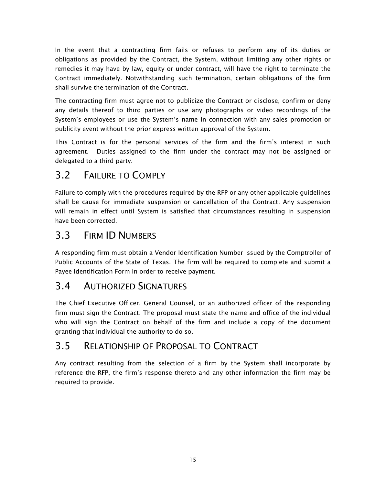In the event that a contracting firm fails or refuses to perform any of its duties or obligations as provided by the Contract, the System, without limiting any other rights or remedies it may have by law, equity or under contract, will have the right to terminate the Contract immediately. Notwithstanding such termination, certain obligations of the firm shall survive the termination of the Contract.

The contracting firm must agree not to publicize the Contract or disclose, confirm or deny any details thereof to third parties or use any photographs or video recordings of the System's employees or use the System's name in connection with any sales promotion or publicity event without the prior express written approval of the System.

This Contract is for the personal services of the firm and the firm's interest in such agreement. Duties assigned to the firm under the contract may not be assigned or delegated to a third party.

## 3.2 FAILURE TO COMPLY

Failure to comply with the procedures required by the RFP or any other applicable guidelines shall be cause for immediate suspension or cancellation of the Contract. Any suspension will remain in effect until System is satisfied that circumstances resulting in suspension have been corrected.

## 3.3 FIRM ID NUMBERS

A responding firm must obtain a Vendor Identification Number issued by the Comptroller of Public Accounts of the State of Texas. The firm will be required to complete and submit a Payee Identification Form in order to receive payment.

### 3.4 AUTHORIZED SIGNATURES

The Chief Executive Officer, General Counsel, or an authorized officer of the responding firm must sign the Contract. The proposal must state the name and office of the individual who will sign the Contract on behalf of the firm and include a copy of the document granting that individual the authority to do so.

## 3.5 RELATIONSHIP OF PROPOSAL TO CONTRACT

Any contract resulting from the selection of a firm by the System shall incorporate by reference the RFP, the firm's response thereto and any other information the firm may be required to provide.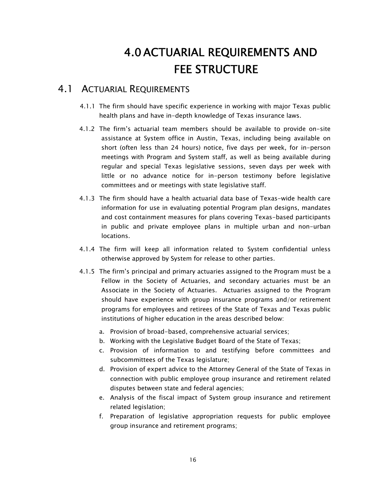## 4.0ACTUARIAL REQUIREMENTS AND FFF STRUCTURF

#### 4.1 ACTUARIAL REQUIREMENTS

- 4.1.1 The firm should have specific experience in working with major Texas public health plans and have in-depth knowledge of Texas insurance laws.
- 4.1.2 The firm's actuarial team members should be available to provide on-site assistance at System office in Austin, Texas, including being available on short (often less than 24 hours) notice, five days per week, for in-person meetings with Program and System staff, as well as being available during regular and special Texas legislative sessions, seven days per week with little or no advance notice for in-person testimony before legislative committees and or meetings with state legislative staff.
- 4.1.3 The firm should have a health actuarial data base of Texas-wide health care information for use in evaluating potential Program plan designs, mandates and cost containment measures for plans covering Texas-based participants in public and private employee plans in multiple urban and non-urban locations.
- 4.1.4 The firm will keep all information related to System confidential unless otherwise approved by System for release to other parties.
- 4.1.5 The firm's principal and primary actuaries assigned to the Program must be a Fellow in the Society of Actuaries, and secondary actuaries must be an Associate in the Society of Actuaries. Actuaries assigned to the Program should have experience with group insurance programs and/or retirement programs for employees and retirees of the State of Texas and Texas public institutions of higher education in the areas described below:
	- a. Provision of broad-based, comprehensive actuarial services;
	- b. Working with the Legislative Budget Board of the State of Texas;
	- c. Provision of information to and testifying before committees and subcommittees of the Texas legislature;
	- d. Provision of expert advice to the Attorney General of the State of Texas in connection with public employee group insurance and retirement related disputes between state and federal agencies;
	- e. Analysis of the fiscal impact of System group insurance and retirement related legislation;
	- f. Preparation of legislative appropriation requests for public employee group insurance and retirement programs;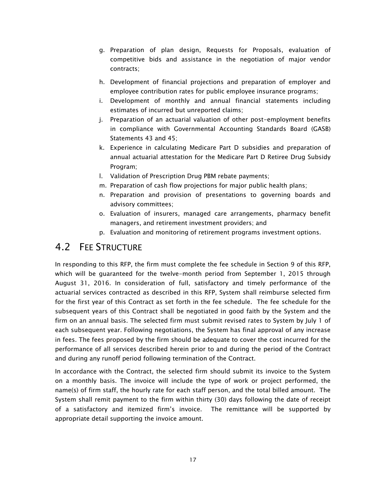- g. Preparation of plan design, Requests for Proposals, evaluation of competitive bids and assistance in the negotiation of major vendor contracts;
- h. Development of financial projections and preparation of employer and employee contribution rates for public employee insurance programs;
- i. Development of monthly and annual financial statements including estimates of incurred but unreported claims;
- j. Preparation of an actuarial valuation of other post-employment benefits in compliance with Governmental Accounting Standards Board (GASB) Statements 43 and 45;
- k. Experience in calculating Medicare Part D subsidies and preparation of annual actuarial attestation for the Medicare Part D Retiree Drug Subsidy Program;
- l. Validation of Prescription Drug PBM rebate payments;
- m. Preparation of cash flow projections for major public health plans;
- n. Preparation and provision of presentations to governing boards and advisory committees;
- o. Evaluation of insurers, managed care arrangements, pharmacy benefit managers, and retirement investment providers; and
- p. Evaluation and monitoring of retirement programs investment options.

#### 4.2 FEE STRUCTURE

In responding to this RFP, the firm must complete the fee schedule in Section 9 of this RFP, which will be guaranteed for the twelve-month period from September 1, 2015 through August 31, 2016. In consideration of full, satisfactory and timely performance of the actuarial services contracted as described in this RFP, System shall reimburse selected firm for the first year of this Contract as set forth in the fee schedule. The fee schedule for the subsequent years of this Contract shall be negotiated in good faith by the System and the firm on an annual basis. The selected firm must submit revised rates to System by July 1 of each subsequent year. Following negotiations, the System has final approval of any increase in fees. The fees proposed by the firm should be adequate to cover the cost incurred for the performance of all services described herein prior to and during the period of the Contract and during any runoff period following termination of the Contract.

In accordance with the Contract, the selected firm should submit its invoice to the System on a monthly basis. The invoice will include the type of work or project performed, the name(s) of firm staff, the hourly rate for each staff person, and the total billed amount. The System shall remit payment to the firm within thirty (30) days following the date of receipt of a satisfactory and itemized firm's invoice. The remittance will be supported by appropriate detail supporting the invoice amount.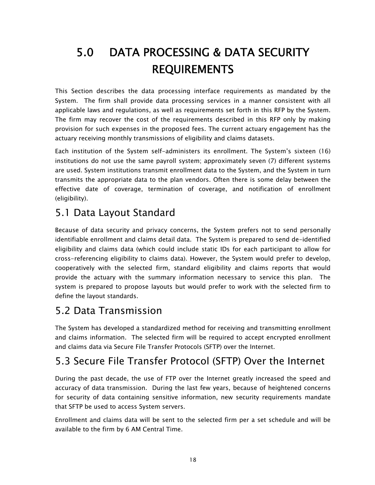# 5.0 DATA PROCESSING & DATA SECURITY REQUIREMENTS

This Section describes the data processing interface requirements as mandated by the System. The firm shall provide data processing services in a manner consistent with all applicable laws and regulations, as well as requirements set forth in this RFP by the System. The firm may recover the cost of the requirements described in this RFP only by making provision for such expenses in the proposed fees. The current actuary engagement has the actuary receiving monthly transmissions of eligibility and claims datasets.

Each institution of the System self-administers its enrollment. The System's sixteen (16) institutions do not use the same payroll system; approximately seven (7) different systems are used. System institutions transmit enrollment data to the System, and the System in turn transmits the appropriate data to the plan vendors. Often there is some delay between the effective date of coverage, termination of coverage, and notification of enrollment (eligibility).

## 5.1 Data Layout Standard

Because of data security and privacy concerns, the System prefers not to send personally identifiable enrollment and claims detail data. The System is prepared to send de-identified eligibility and claims data (which could include static IDs for each participant to allow for cross-referencing eligibility to claims data). However, the System would prefer to develop, cooperatively with the selected firm, standard eligibility and claims reports that would provide the actuary with the summary information necessary to service this plan. The system is prepared to propose layouts but would prefer to work with the selected firm to define the layout standards.

## 5.2 Data Transmission

The System has developed a standardized method for receiving and transmitting enrollment and claims information. The selected firm will be required to accept encrypted enrollment and claims data via Secure File Transfer Protocols (SFTP) over the Internet.

## 5.3 Secure File Transfer Protocol (SFTP) Over the Internet

During the past decade, the use of FTP over the Internet greatly increased the speed and accuracy of data transmission. During the last few years, because of heightened concerns for security of data containing sensitive information, new security requirements mandate that SFTP be used to access System servers.

Enrollment and claims data will be sent to the selected firm per a set schedule and will be available to the firm by 6 AM Central Time.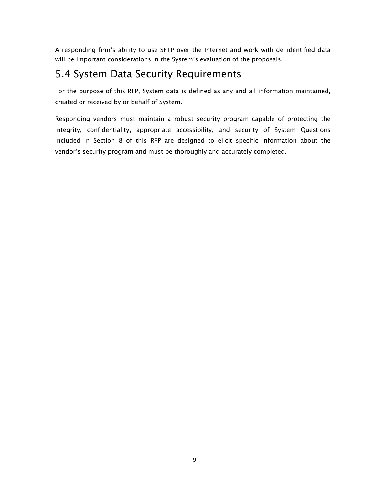A responding firm's ability to use SFTP over the Internet and work with de-identified data will be important considerations in the System's evaluation of the proposals.

## 5.4 System Data Security Requirements

For the purpose of this RFP, System data is defined as any and all information maintained, created or received by or behalf of System.

Responding vendors must maintain a robust security program capable of protecting the integrity, confidentiality, appropriate accessibility, and security of System Questions included in Section 8 of this RFP are designed to elicit specific information about the vendor's security program and must be thoroughly and accurately completed.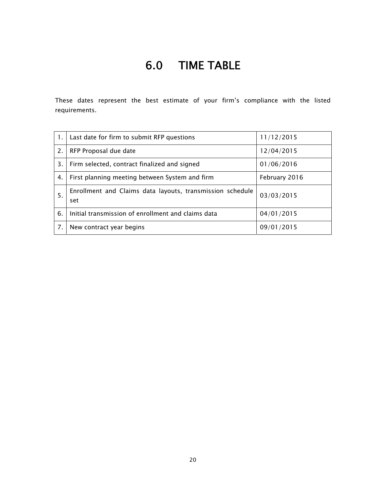## 6.0 TIME TABLE

These dates represent the best estimate of your firm's compliance with the listed requirements.

|    | Last date for firm to submit RFP questions                       | 11/12/2015    |
|----|------------------------------------------------------------------|---------------|
| 2. | RFP Proposal due date                                            | 12/04/2015    |
| 3. | Firm selected, contract finalized and signed                     | 01/06/2016    |
| 4. | First planning meeting between System and firm                   | February 2016 |
| 5. | Enrollment and Claims data layouts, transmission schedule<br>set | 03/03/2015    |
| 6. | Initial transmission of enrollment and claims data               | 04/01/2015    |
| 7. | New contract year begins                                         | 09/01/2015    |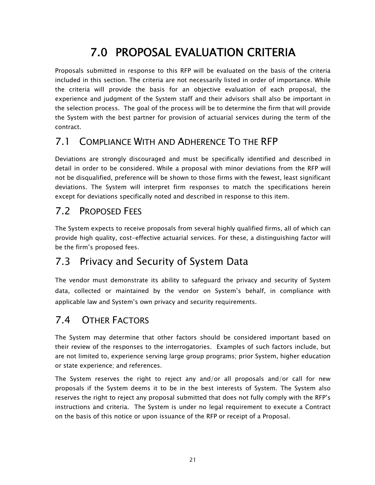## 7.0 PROPOSAL EVALUATION CRITERIA

Proposals submitted in response to this RFP will be evaluated on the basis of the criteria included in this section. The criteria are not necessarily listed in order of importance. While the criteria will provide the basis for an objective evaluation of each proposal, the experience and judgment of the System staff and their advisors shall also be important in the selection process. The goal of the process will be to determine the firm that will provide the System with the best partner for provision of actuarial services during the term of the contract.

## 7.1 COMPLIANCE WITH AND ADHERENCE TO THE RFP

Deviations are strongly discouraged and must be specifically identified and described in detail in order to be considered. While a proposal with minor deviations from the RFP will not be disqualified, preference will be shown to those firms with the fewest, least significant deviations. The System will interpret firm responses to match the specifications herein except for deviations specifically noted and described in response to this item.

### 7.2 PROPOSED FEES

The System expects to receive proposals from several highly qualified firms, all of which can provide high quality, cost-effective actuarial services. For these, a distinguishing factor will be the firm's proposed fees.

## 7.3 Privacy and Security of System Data

The vendor must demonstrate its ability to safeguard the privacy and security of System data, collected or maintained by the vendor on System's behalf, in compliance with applicable law and System's own privacy and security requirements.

## 7.4 OTHER FACTORS

The System may determine that other factors should be considered important based on their review of the responses to the interrogatories. Examples of such factors include, but are not limited to, experience serving large group programs; prior System, higher education or state experience; and references.

The System reserves the right to reject any and/or all proposals and/or call for new proposals if the System deems it to be in the best interests of System. The System also reserves the right to reject any proposal submitted that does not fully comply with the RFP's instructions and criteria. The System is under no legal requirement to execute a Contract on the basis of this notice or upon issuance of the RFP or receipt of a Proposal.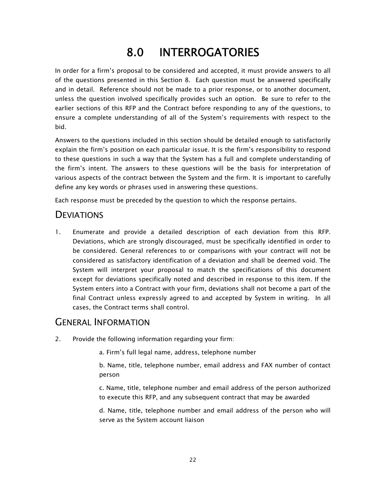# 8.0 INTERROGATORIES

In order for a firm's proposal to be considered and accepted, it must provide answers to all of the questions presented in this Section 8. Each question must be answered specifically and in detail. Reference should not be made to a prior response, or to another document, unless the question involved specifically provides such an option. Be sure to refer to the earlier sections of this RFP and the Contract before responding to any of the questions, to ensure a complete understanding of all of the System's requirements with respect to the bid.

Answers to the questions included in this section should be detailed enough to satisfactorily explain the firm's position on each particular issue. It is the firm's responsibility to respond to these questions in such a way that the System has a full and complete understanding of the firm's intent. The answers to these questions will be the basis for interpretation of various aspects of the contract between the System and the firm. It is important to carefully define any key words or phrases used in answering these questions.

Each response must be preceded by the question to which the response pertains.

#### **DEVIATIONS**

1. Enumerate and provide a detailed description of each deviation from this RFP. Deviations, which are strongly discouraged, must be specifically identified in order to be considered. General references to or comparisons with your contract will not be considered as satisfactory identification of a deviation and shall be deemed void. The System will interpret your proposal to match the specifications of this document except for deviations specifically noted and described in response to this item. If the System enters into a Contract with your firm, deviations shall not become a part of the final Contract unless expressly agreed to and accepted by System in writing. In all cases, the Contract terms shall control.

#### GENERAL INFORMATION

2. Provide the following information regarding your firm:

a. Firm's full legal name, address, telephone number

b. Name, title, telephone number, email address and FAX number of contact person

c. Name, title, telephone number and email address of the person authorized to execute this RFP, and any subsequent contract that may be awarded

d. Name, title, telephone number and email address of the person who will serve as the System account liaison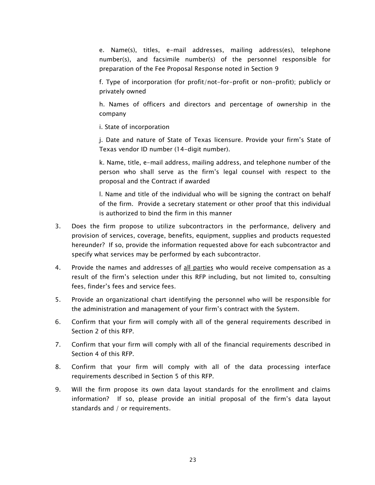e. Name(s), titles, e-mail addresses, mailing address(es), telephone number(s), and facsimile number(s) of the personnel responsible for preparation of the Fee Proposal Response noted in Section 9

f. Type of incorporation (for profit/not-for-profit or non-profit); publicly or privately owned

 h. Names of officers and directors and percentage of ownership in the company

i. State of incorporation

j. Date and nature of State of Texas licensure. Provide your firm's State of Texas vendor ID number (14-digit number).

k. Name, title, e-mail address, mailing address, and telephone number of the person who shall serve as the firm's legal counsel with respect to the proposal and the Contract if awarded

l. Name and title of the individual who will be signing the contract on behalf of the firm. Provide a secretary statement or other proof that this individual is authorized to bind the firm in this manner

- 3. Does the firm propose to utilize subcontractors in the performance, delivery and provision of services, coverage, benefits, equipment, supplies and products requested hereunder? If so, provide the information requested above for each subcontractor and specify what services may be performed by each subcontractor.
- 4. Provide the names and addresses of all parties who would receive compensation as a result of the firm's selection under this RFP including, but not limited to, consulting fees, finder's fees and service fees.
- 5. Provide an organizational chart identifying the personnel who will be responsible for the administration and management of your firm's contract with the System.
- 6. Confirm that your firm will comply with all of the general requirements described in Section 2 of this RFP.
- 7. Confirm that your firm will comply with all of the financial requirements described in Section 4 of this RFP.
- 8. Confirm that your firm will comply with all of the data processing interface requirements described in Section 5 of this RFP.
- 9. Will the firm propose its own data layout standards for the enrollment and claims information? If so, please provide an initial proposal of the firm's data layout standards and / or requirements.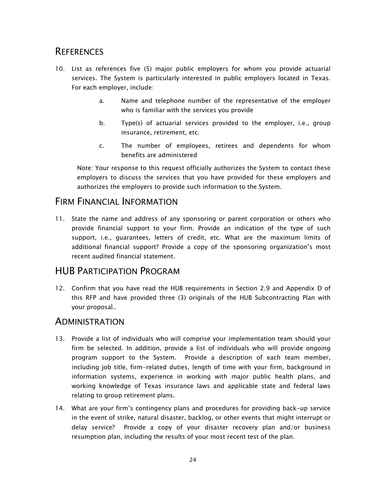#### **REFERENCES**

- 10. List as references five (5) major public employers for whom you provide actuarial services. The System is particularly interested in public employers located in Texas. For each employer, include:
	- a. Name and telephone number of the representative of the employer who is familiar with the services you provide
	- b. Type(s) of actuarial services provided to the employer, i.e., group insurance, retirement, etc.
	- c. The number of employees, retirees and dependents for whom benefits are administered

 Note: Your response to this request officially authorizes the System to contact these employers to discuss the services that you have provided for these employers and authorizes the employers to provide such information to the System.

#### FIRM FINANCIAL INFORMATION

11. State the name and address of any sponsoring or parent corporation or others who provide financial support to your firm. Provide an indication of the type of such support, i.e., guarantees, letters of credit, etc. What are the maximum limits of additional financial support? Provide a copy of the sponsoring organization's most recent audited financial statement.

#### HUB PARTICIPATION PROGRAM

12. Confirm that you have read the HUB requirements in Section 2.9 and Appendix D of this RFP and have provided three (3) originals of the HUB Subcontracting Plan with your proposal..

#### **ADMINISTRATION**

- 13. Provide a list of individuals who will comprise your implementation team should your firm be selected. In addition, provide a list of individuals who will provide ongoing program support to the System. Provide a description of each team member, including job title, firm-related duties, length of time with your firm, background in information systems, experience in working with major public health plans, and working knowledge of Texas insurance laws and applicable state and federal laws relating to group retirement plans.
- 14. What are your firm's contingency plans and procedures for providing back-up service in the event of strike, natural disaster, backlog, or other events that might interrupt or delay service? Provide a copy of your disaster recovery plan and/or business resumption plan, including the results of your most recent test of the plan.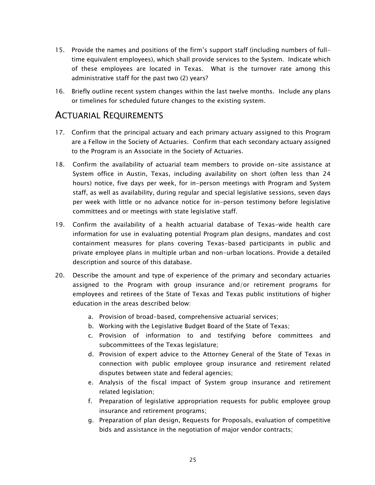- 15. Provide the names and positions of the firm's support staff (including numbers of fulltime equivalent employees), which shall provide services to the System. Indicate which of these employees are located in Texas. What is the turnover rate among this administrative staff for the past two (2) years?
- 16. Briefly outline recent system changes within the last twelve months. Include any plans or timelines for scheduled future changes to the existing system.

#### ACTUARIAL REQUIREMENTS

- 17. Confirm that the principal actuary and each primary actuary assigned to this Program are a Fellow in the Society of Actuaries. Confirm that each secondary actuary assigned to the Program is an Associate in the Society of Actuaries.
- 18. Confirm the availability of actuarial team members to provide on-site assistance at System office in Austin, Texas, including availability on short (often less than 24 hours) notice, five days per week, for in-person meetings with Program and System staff, as well as availability, during regular and special legislative sessions, seven days per week with little or no advance notice for in-person testimony before legislative committees and or meetings with state legislative staff.
- 19. Confirm the availability of a health actuarial database of Texas-wide health care information for use in evaluating potential Program plan designs, mandates and cost containment measures for plans covering Texas-based participants in public and private employee plans in multiple urban and non-urban locations. Provide a detailed description and source of this database.
- 20. Describe the amount and type of experience of the primary and secondary actuaries assigned to the Program with group insurance and/or retirement programs for employees and retirees of the State of Texas and Texas public institutions of higher education in the areas described below:
	- a. Provision of broad-based, comprehensive actuarial services;
	- b. Working with the Legislative Budget Board of the State of Texas;
	- c. Provision of information to and testifying before committees and subcommittees of the Texas legislature;
	- d. Provision of expert advice to the Attorney General of the State of Texas in connection with public employee group insurance and retirement related disputes between state and federal agencies;
	- e. Analysis of the fiscal impact of System group insurance and retirement related legislation;
	- f. Preparation of legislative appropriation requests for public employee group insurance and retirement programs;
	- g. Preparation of plan design, Requests for Proposals, evaluation of competitive bids and assistance in the negotiation of major vendor contracts;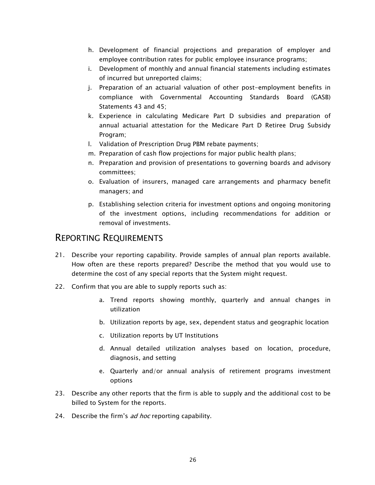- h. Development of financial projections and preparation of employer and employee contribution rates for public employee insurance programs;
- i. Development of monthly and annual financial statements including estimates of incurred but unreported claims;
- j. Preparation of an actuarial valuation of other post-employment benefits in compliance with Governmental Accounting Standards Board (GASB) Statements 43 and 45;
- k. Experience in calculating Medicare Part D subsidies and preparation of annual actuarial attestation for the Medicare Part D Retiree Drug Subsidy Program;
- l. Validation of Prescription Drug PBM rebate payments;
- m. Preparation of cash flow projections for major public health plans;
- n. Preparation and provision of presentations to governing boards and advisory committees;
- o. Evaluation of insurers, managed care arrangements and pharmacy benefit managers; and
- p. Establishing selection criteria for investment options and ongoing monitoring of the investment options, including recommendations for addition or removal of investments.

#### REPORTING REQUIREMENTS

- 21. Describe your reporting capability. Provide samples of annual plan reports available. How often are these reports prepared? Describe the method that you would use to determine the cost of any special reports that the System might request.
- 22. Confirm that you are able to supply reports such as:
	- a. Trend reports showing monthly, quarterly and annual changes in utilization
	- b. Utilization reports by age, sex, dependent status and geographic location
	- c. Utilization reports by UT Institutions
	- d. Annual detailed utilization analyses based on location, procedure, diagnosis, and setting
	- e. Quarterly and/or annual analysis of retirement programs investment options
- 23. Describe any other reports that the firm is able to supply and the additional cost to be billed to System for the reports.
- 24. Describe the firm's ad hoc reporting capability.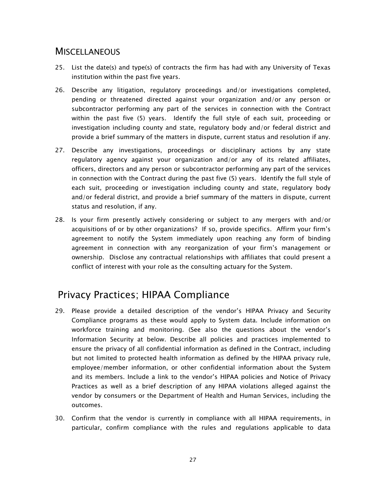#### **MISCELLANEOUS**

- 25. List the date(s) and type(s) of contracts the firm has had with any University of Texas institution within the past five years.
- 26. Describe any litigation, regulatory proceedings and/or investigations completed, pending or threatened directed against your organization and/or any person or subcontractor performing any part of the services in connection with the Contract within the past five (5) years. Identify the full style of each suit, proceeding or investigation including county and state, regulatory body and/or federal district and provide a brief summary of the matters in dispute, current status and resolution if any.
- 27. Describe any investigations, proceedings or disciplinary actions by any state regulatory agency against your organization and/or any of its related affiliates, officers, directors and any person or subcontractor performing any part of the services in connection with the Contract during the past five (5) years. Identify the full style of each suit, proceeding or investigation including county and state, regulatory body and/or federal district, and provide a brief summary of the matters in dispute, current status and resolution, if any.
- 28. Is your firm presently actively considering or subject to any mergers with and/or acquisitions of or by other organizations? If so, provide specifics. Affirm your firm's agreement to notify the System immediately upon reaching any form of binding agreement in connection with any reorganization of your firm's management or ownership. Disclose any contractual relationships with affiliates that could present a conflict of interest with your role as the consulting actuary for the System.

## Privacy Practices; HIPAA Compliance

- 29. Please provide a detailed description of the vendor's HIPAA Privacy and Security Compliance programs as these would apply to System data. Include information on workforce training and monitoring. (See also the questions about the vendor's Information Security at below. Describe all policies and practices implemented to ensure the privacy of all confidential information as defined in the Contract, including but not limited to protected health information as defined by the HIPAA privacy rule, employee/member information, or other confidential information about the System and its members. Include a link to the vendor's HIPAA policies and Notice of Privacy Practices as well as a brief description of any HIPAA violations alleged against the vendor by consumers or the Department of Health and Human Services, including the outcomes.
- 30. Confirm that the vendor is currently in compliance with all HIPAA requirements, in particular, confirm compliance with the rules and regulations applicable to data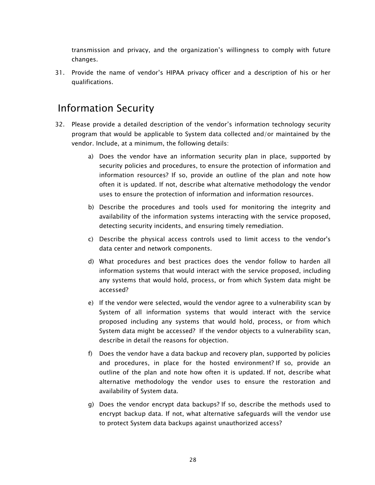transmission and privacy, and the organization's willingness to comply with future changes.

31. Provide the name of vendor's HIPAA privacy officer and a description of his or her qualifications.

### Information Security

- 32. Please provide a detailed description of the vendor's information technology security program that would be applicable to System data collected and/or maintained by the vendor. Include, at a minimum, the following details:
	- a) Does the vendor have an information security plan in place, supported by security policies and procedures, to ensure the protection of information and information resources? If so, provide an outline of the plan and note how often it is updated. If not, describe what alternative methodology the vendor uses to ensure the protection of information and information resources.
	- b) Describe the procedures and tools used for monitoring the integrity and availability of the information systems interacting with the service proposed, detecting security incidents, and ensuring timely remediation.
	- c) Describe the physical access controls used to limit access to the vendor's data center and network components.
	- d) What procedures and best practices does the vendor follow to harden all information systems that would interact with the service proposed, including any systems that would hold, process, or from which System data might be accessed?
	- e) If the vendor were selected, would the vendor agree to a vulnerability scan by System of all information systems that would interact with the service proposed including any systems that would hold, process, or from which System data might be accessed? If the vendor objects to a vulnerability scan, describe in detail the reasons for objection.
	- f) Does the vendor have a data backup and recovery plan, supported by policies and procedures, in place for the hosted environment? If so, provide an outline of the plan and note how often it is updated. If not, describe what alternative methodology the vendor uses to ensure the restoration and availability of System data.
	- g) Does the vendor encrypt data backups? If so, describe the methods used to encrypt backup data. If not, what alternative safeguards will the vendor use to protect System data backups against unauthorized access?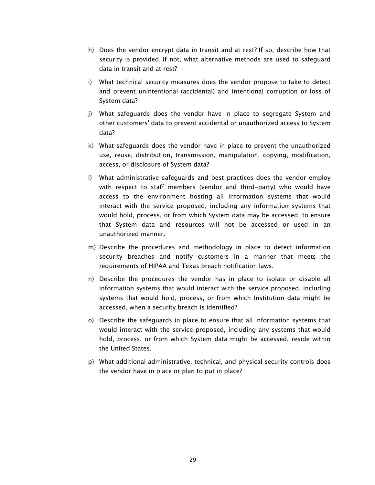- h) Does the vendor encrypt data in transit and at rest? If so, describe how that security is provided. If not, what alternative methods are used to safeguard data in transit and at rest?
- i) What technical security measures does the vendor propose to take to detect and prevent unintentional (accidental) and intentional corruption or loss of System data?
- j) What safeguards does the vendor have in place to segregate System and other customers' data to prevent accidental or unauthorized access to System data?
- k) What safeguards does the vendor have in place to prevent the unauthorized use, reuse, distribution, transmission, manipulation, copying, modification, access, or disclosure of System data?
- l) What administrative safeguards and best practices does the vendor employ with respect to staff members (vendor and third-party) who would have access to the environment hosting all information systems that would interact with the service proposed, including any information systems that would hold, process, or from which System data may be accessed, to ensure that System data and resources will not be accessed or used in an unauthorized manner.
- m) Describe the procedures and methodology in place to detect information security breaches and notify customers in a manner that meets the requirements of HIPAA and Texas breach notification laws.
- n) Describe the procedures the vendor has in place to isolate or disable all information systems that would interact with the service proposed, including systems that would hold, process, or from which Institution data might be accessed, when a security breach is identified?
- o) Describe the safeguards in place to ensure that all information systems that would interact with the service proposed, including any systems that would hold, process, or from which System data might be accessed, reside within the United States.
- p) What additional administrative, technical, and physical security controls does the vendor have in place or plan to put in place?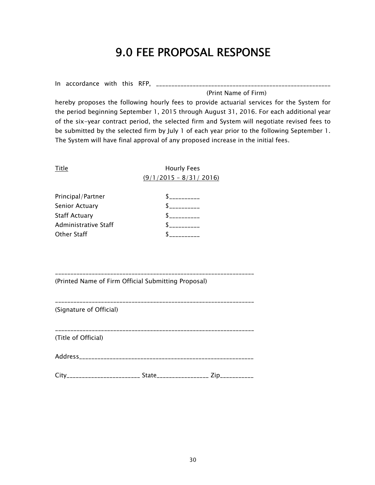## 9.0 FEE PROPOSAL RESPONSE

In accordance with this RFP, \_\_\_\_\_\_\_\_\_\_\_\_\_\_\_\_\_\_\_\_\_\_\_\_\_\_\_\_\_\_\_\_\_\_\_\_\_\_\_\_\_\_\_\_\_\_\_\_\_\_\_\_\_\_\_\_\_ (Print Name of Firm)

hereby proposes the following hourly fees to provide actuarial services for the System for the period beginning September 1, 2015 through August 31, 2016. For each additional year of the six-year contract period, the selected firm and System will negotiate revised fees to be submitted by the selected firm by July 1 of each year prior to the following September 1. The System will have final approval of any proposed increase in the initial fees.

\_\_\_\_\_\_\_\_\_\_\_\_\_\_\_\_\_\_\_\_\_\_\_\_\_\_\_\_\_\_\_\_\_\_\_\_\_\_\_\_\_\_\_\_\_\_\_\_\_\_\_\_\_\_\_\_\_\_\_\_\_\_\_\_\_

Title **Title** Hourly Fees  $(9/1/2015 - 8/31/2016)$ 

| Principal/Partner    |  |
|----------------------|--|
| Senior Actuary       |  |
| <b>Staff Actuary</b> |  |
| Administrative Staff |  |
| <b>Other Staff</b>   |  |

(Printed Name of Firm Official Submitting Proposal)

| (Signature of Official) |  |
|-------------------------|--|

\_\_\_\_\_\_\_\_\_\_\_\_\_\_\_\_\_\_\_\_\_\_\_\_\_\_\_\_\_\_\_\_\_\_\_\_\_\_\_\_\_\_\_\_\_\_\_\_\_\_\_\_\_\_\_\_\_\_\_\_\_\_\_\_\_

(Title of Official)

Address\_\_\_\_\_\_\_\_\_\_\_\_\_\_\_\_\_\_\_\_\_\_\_\_\_\_\_\_\_\_\_\_\_\_\_\_\_\_\_\_\_\_\_\_\_\_\_\_\_\_\_\_\_\_\_\_\_

City\_\_\_\_\_\_\_\_\_\_\_\_\_\_\_\_\_\_\_\_\_\_\_\_ State\_\_\_\_\_\_\_\_\_\_\_\_\_\_\_\_\_ Zip\_\_\_\_\_\_\_\_\_\_\_